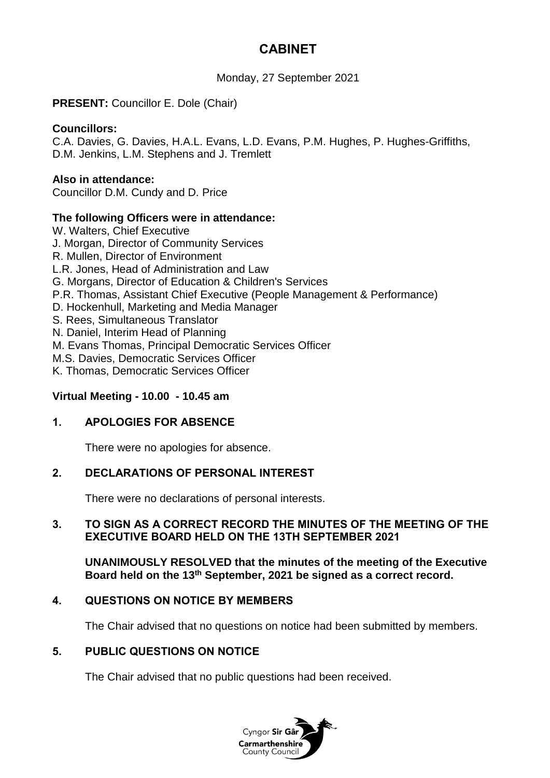# **CABINET**

Monday, 27 September 2021

## **PRESENT:** Councillor E. Dole (Chair)

#### **Councillors:**

C.A. Davies, G. Davies, H.A.L. Evans, L.D. Evans, P.M. Hughes, P. Hughes-Griffiths, D.M. Jenkins, L.M. Stephens and J. Tremlett

#### **Also in attendance:**

Councillor D.M. Cundy and D. Price

#### **The following Officers were in attendance:**

W. Walters, Chief Executive J. Morgan, Director of Community Services R. Mullen, Director of Environment L.R. Jones, Head of Administration and Law G. Morgans, Director of Education & Children's Services P.R. Thomas, Assistant Chief Executive (People Management & Performance) D. Hockenhull, Marketing and Media Manager S. Rees, Simultaneous Translator N. Daniel, Interim Head of Planning M. Evans Thomas, Principal Democratic Services Officer M.S. Davies, Democratic Services Officer K. Thomas, Democratic Services Officer

#### **Virtual Meeting - 10.00 - 10.45 am**

#### **1. APOLOGIES FOR ABSENCE**

There were no apologies for absence.

#### **2. DECLARATIONS OF PERSONAL INTEREST**

There were no declarations of personal interests.

#### **3. TO SIGN AS A CORRECT RECORD THE MINUTES OF THE MEETING OF THE EXECUTIVE BOARD HELD ON THE 13TH SEPTEMBER 2021**

**UNANIMOUSLY RESOLVED that the minutes of the meeting of the Executive Board held on the 13th September, 2021 be signed as a correct record.**

#### **4. QUESTIONS ON NOTICE BY MEMBERS**

The Chair advised that no questions on notice had been submitted by members.

#### **5. PUBLIC QUESTIONS ON NOTICE**

The Chair advised that no public questions had been received.

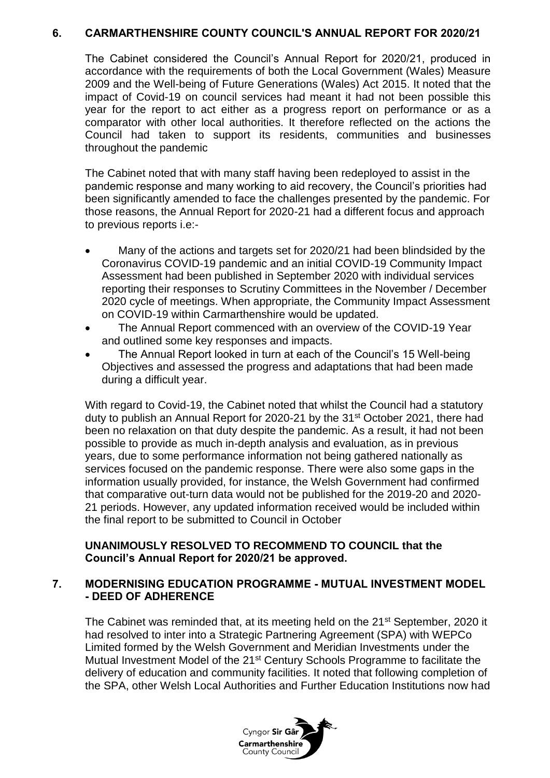## **6. CARMARTHENSHIRE COUNTY COUNCIL'S ANNUAL REPORT FOR 2020/21**

The Cabinet considered the Council's Annual Report for 2020/21, produced in accordance with the requirements of both the Local Government (Wales) Measure 2009 and the Well-being of Future Generations (Wales) Act 2015. It noted that the impact of Covid-19 on council services had meant it had not been possible this year for the report to act either as a progress report on performance or as a comparator with other local authorities. It therefore reflected on the actions the Council had taken to support its residents, communities and businesses throughout the pandemic

The Cabinet noted that with many staff having been redeployed to assist in the pandemic response and many working to aid recovery, the Council's priorities had been significantly amended to face the challenges presented by the pandemic. For those reasons, the Annual Report for 2020-21 had a different focus and approach to previous reports i.e:-

- Many of the actions and targets set for 2020/21 had been blindsided by the Coronavirus COVID-19 pandemic and an initial COVID-19 Community Impact Assessment had been published in September 2020 with individual services reporting their responses to Scrutiny Committees in the November / December 2020 cycle of meetings. When appropriate, the Community Impact Assessment on COVID-19 within Carmarthenshire would be updated.
- The Annual Report commenced with an overview of the COVID-19 Year and outlined some key responses and impacts.
- The Annual Report looked in turn at each of the Council's 15 Well-being Objectives and assessed the progress and adaptations that had been made during a difficult year.

With regard to Covid-19, the Cabinet noted that whilst the Council had a statutory duty to publish an Annual Report for 2020-21 by the 31<sup>st</sup> October 2021, there had been no relaxation on that duty despite the pandemic. As a result, it had not been possible to provide as much in-depth analysis and evaluation, as in previous years, due to some performance information not being gathered nationally as services focused on the pandemic response. There were also some gaps in the information usually provided, for instance, the Welsh Government had confirmed that comparative out-turn data would not be published for the 2019-20 and 2020- 21 periods. However, any updated information received would be included within the final report to be submitted to Council in October

## **UNANIMOUSLY RESOLVED TO RECOMMEND TO COUNCIL that the Council's Annual Report for 2020/21 be approved.**

## **7. MODERNISING EDUCATION PROGRAMME - MUTUAL INVESTMENT MODEL - DEED OF ADHERENCE**

The Cabinet was reminded that, at its meeting held on the 21<sup>st</sup> September, 2020 it had resolved to inter into a Strategic Partnering Agreement (SPA) with WEPCo Limited formed by the Welsh Government and Meridian Investments under the Mutual Investment Model of the 21<sup>st</sup> Century Schools Programme to facilitate the delivery of education and community facilities. It noted that following completion of the SPA, other Welsh Local Authorities and Further Education Institutions now had

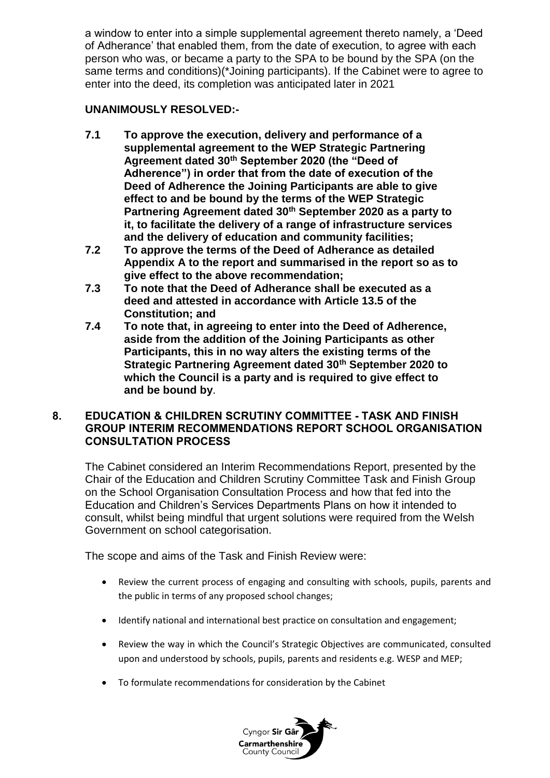a window to enter into a simple supplemental agreement thereto namely, a 'Deed of Adherance' that enabled them, from the date of execution, to agree with each person who was, or became a party to the SPA to be bound by the SPA (on the same terms and conditions)(\*Joining participants). If the Cabinet were to agree to enter into the deed, its completion was anticipated later in 2021

# **UNANIMOUSLY RESOLVED:-**

- **7.1 To approve the execution, delivery and performance of a supplemental agreement to the WEP Strategic Partnering Agreement dated 30th September 2020 (the "Deed of Adherence") in order that from the date of execution of the Deed of Adherence the Joining Participants are able to give effect to and be bound by the terms of the WEP Strategic Partnering Agreement dated 30th September 2020 as a party to it, to facilitate the delivery of a range of infrastructure services and the delivery of education and community facilities;**
- **7.2 To approve the terms of the Deed of Adherance as detailed Appendix A to the report and summarised in the report so as to give effect to the above recommendation;**
- **7.3 To note that the Deed of Adherance shall be executed as a deed and attested in accordance with Article 13.5 of the Constitution; and**
- **7.4 To note that, in agreeing to enter into the Deed of Adherence, aside from the addition of the Joining Participants as other Participants, this in no way alters the existing terms of the Strategic Partnering Agreement dated 30th September 2020 to which the Council is a party and is required to give effect to and be bound by**.

# **8. EDUCATION & CHILDREN SCRUTINY COMMITTEE - TASK AND FINISH GROUP INTERIM RECOMMENDATIONS REPORT SCHOOL ORGANISATION CONSULTATION PROCESS**

The Cabinet considered an Interim Recommendations Report, presented by the Chair of the Education and Children Scrutiny Committee Task and Finish Group on the School Organisation Consultation Process and how that fed into the Education and Children's Services Departments Plans on how it intended to consult, whilst being mindful that urgent solutions were required from the Welsh Government on school categorisation.

The scope and aims of the Task and Finish Review were:

- Review the current process of engaging and consulting with schools, pupils, parents and the public in terms of any proposed school changes;
- Identify national and international best practice on consultation and engagement;
- Review the way in which the Council's Strategic Objectives are communicated, consulted upon and understood by schools, pupils, parents and residents e.g. WESP and MEP;
- To formulate recommendations for consideration by the Cabinet

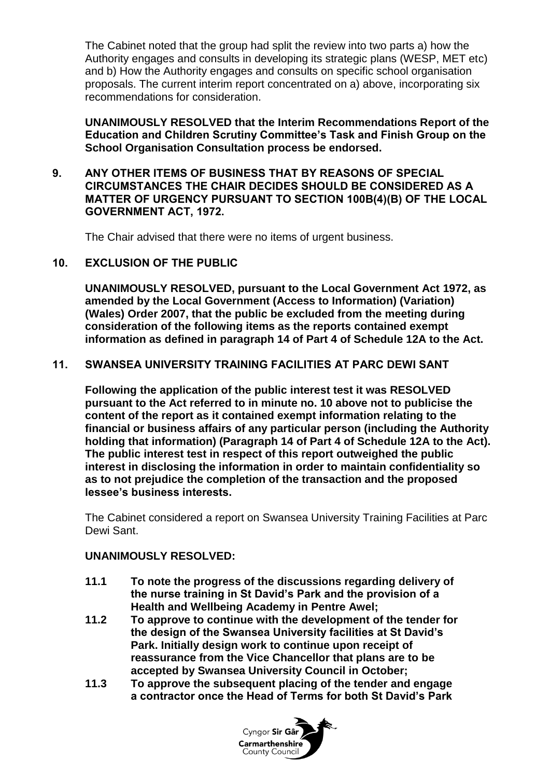The Cabinet noted that the group had split the review into two parts a) how the Authority engages and consults in developing its strategic plans (WESP, MET etc) and b) How the Authority engages and consults on specific school organisation proposals. The current interim report concentrated on a) above, incorporating six recommendations for consideration.

**UNANIMOUSLY RESOLVED that the Interim Recommendations Report of the Education and Children Scrutiny Committee's Task and Finish Group on the School Organisation Consultation process be endorsed.**

#### **9. ANY OTHER ITEMS OF BUSINESS THAT BY REASONS OF SPECIAL CIRCUMSTANCES THE CHAIR DECIDES SHOULD BE CONSIDERED AS A MATTER OF URGENCY PURSUANT TO SECTION 100B(4)(B) OF THE LOCAL GOVERNMENT ACT, 1972.**

The Chair advised that there were no items of urgent business.

# **10. EXCLUSION OF THE PUBLIC**

**UNANIMOUSLY RESOLVED, pursuant to the Local Government Act 1972, as amended by the Local Government (Access to Information) (Variation) (Wales) Order 2007, that the public be excluded from the meeting during consideration of the following items as the reports contained exempt information as defined in paragraph 14 of Part 4 of Schedule 12A to the Act.**

# **11. SWANSEA UNIVERSITY TRAINING FACILITIES AT PARC DEWI SANT**

**Following the application of the public interest test it was RESOLVED pursuant to the Act referred to in minute no. 10 above not to publicise the content of the report as it contained exempt information relating to the financial or business affairs of any particular person (including the Authority holding that information) (Paragraph 14 of Part 4 of Schedule 12A to the Act). The public interest test in respect of this report outweighed the public interest in disclosing the information in order to maintain confidentiality so as to not prejudice the completion of the transaction and the proposed lessee's business interests.**

The Cabinet considered a report on Swansea University Training Facilities at Parc Dewi Sant.

#### **UNANIMOUSLY RESOLVED:**

- **11.1 To note the progress of the discussions regarding delivery of the nurse training in St David's Park and the provision of a Health and Wellbeing Academy in Pentre Awel;**
- **11.2 To approve to continue with the development of the tender for the design of the Swansea University facilities at St David's Park. Initially design work to continue upon receipt of reassurance from the Vice Chancellor that plans are to be accepted by Swansea University Council in October;**
- **11.3 To approve the subsequent placing of the tender and engage a contractor once the Head of Terms for both St David's Park**